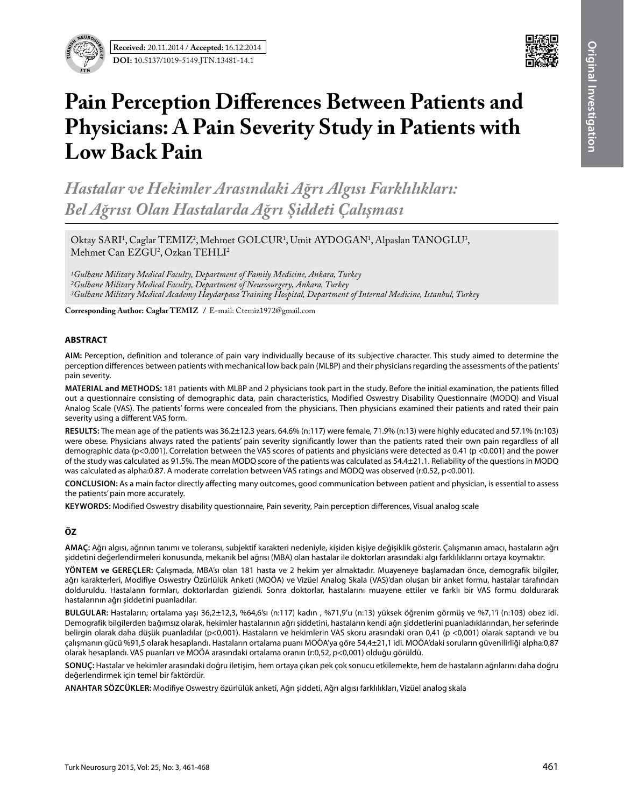



# **Pain Perception Differences Between Patients and Physicians: A Pain Severity Study in Patients with Low Back Pain**

*Hastalar ve Hekimler Arasındaki Ağrı Algısı Farklılıkları: Bel Ağrısı Olan Hastalarda Ağrı Şiddeti Çalışması*

Oktay SARI<sup>1</sup>, Caglar TEMIZ<sup>2</sup>, Mehmet GOLCUR<sup>1</sup>, Umit AYDOGAN<sup>1</sup>, Alpaslan TANOGLU<sup>3</sup>,  $M$ ehmet Can E $ZGU<sup>2</sup>$ , Ozkan TEHLI<sup>2</sup>

*1Gulhane Military Medical Faculty, Department of Family Medicine, Ankara, Turkey 2Gulhane Military Medical Faculty, Department of Neurosurgery, Ankara, Turkey 3Gulhane Military Medical Academy Haydarpasa Training Hospital, Department of Internal Medicine, Istanbul, Turkey*

**Corresponding Author: Caglar Temız /** E-mail: Ctemiz1972@gmail.com

#### **ABSTRACT**

**AIm:** Perception, definition and tolerance of pain vary individually because of its subjective character. This study aimed to determine the perception differences between patients with mechanical low back pain (MLBP) and their physicians regarding the assessments of the patients' pain severity.

**MaterIal and Methods:** 181 patients with MLBP and 2 physicians took part in the study. Before the initial examination, the patients filled out a questionnaire consisting of demographic data, pain characteristics, Modified Oswestry Disability Questionnaire (MODQ) and Visual Analog Scale (VAS). The patients' forms were concealed from the physicians. Then physicians examined their patients and rated their pain severity using a different VAS form.

**Results:** The mean age of the patients was 36.2±12.3 years. 64.6% (n:117) were female, 71.9% (n:13) were highly educated and 57.1% (n:103) were obese. Physicians always rated the patients' pain severity significantly lower than the patients rated their own pain regardless of all demographic data (p<0.001). Correlation between the VAS scores of patients and physicians were detected as 0.41 (p <0.001) and the power of the study was calculated as 91.5%. The mean MODQ score of the patients was calculated as 54.4±21.1. Reliability of the questions in MODQ was calculated as alpha:0.87. A moderate correlation between VAS ratings and MODQ was observed (r:0.52, p<0.001).

**ConclusIon:** As a main factor directly affecting many outcomes, good communication between patient and physician, is essential to assess the patients' pain more accurately.

KEYWORDS: Modified Oswestry disability questionnaire, Pain severity, Pain perception differences, Visual analog scale

# **ÖZ**

**AMAÇ:** Ağrı algısı, ağrının tanımı ve toleransı, subjektif karakteri nedeniyle, kişiden kişiye değişiklik gösterir. Çalışmanın amacı, hastaların ağrı şiddetini değerlendirmeleri konusunda, mekanik bel ağrısı (MBA) olan hastalar ile doktorları arasındaki algı farklılıklarını ortaya koymaktır.

**YÖNTEM ve GEREÇLER:** Çalışmada, MBA'sı olan 181 hasta ve 2 hekim yer almaktadır. Muayeneye başlamadan önce, demografik bilgiler, ağrı karakterleri, Modifiye Oswestry Özürlülük Anketi (MOÖA) ve Vizüel Analog Skala (VAS)'dan oluşan bir anket formu, hastalar tarafından dolduruldu. Hastaların formları, doktorlardan gizlendi. Sonra doktorlar, hastalarını muayene ettiler ve farklı bir VAS formu doldurarak hastalarının ağrı şiddetini puanladılar.

**BULGULAR:** Hastaların; ortalama yaşı 36,2±12,3, %64,6'sı (n:117) kadın , %71,9'u (n:13) yüksek öğrenim görmüş ve %7,1'i (n:103) obez idi. Demografik bilgilerden bağımsız olarak, hekimler hastalarının ağrı şiddetini, hastaların kendi ağrı şiddetlerini puanladıklarından, her seferinde belirgin olarak daha düşük puanladılar (p<0,001). Hastaların ve hekimlerin VAS skoru arasındaki oran 0,41 (p <0,001) olarak saptandı ve bu çalışmanın gücü %91,5 olarak hesaplandı. Hastaların ortalama puanı MOÖA'ya göre 54,4±21,1 idi. MOÖA'daki soruların güvenilirliği alpha:0,87 olarak hesaplandı. VAS puanları ve MOÖA arasındaki ortalama oranın (r:0,52, p<0,001) olduğu görüldü.

**SONUÇ:** Hastalar ve hekimler arasındaki doğru iletişim, hem ortaya çıkan pek çok sonucu etkilemekte, hem de hastaların ağrılarını daha doğru değerlendirmek için temel bir faktördür.

**ANAHTAR SÖZCÜKLER:** Modifiye Oswestry özürlülük anketi, Ağrı şiddeti, Ağrı algısı farklılıkları, Vizüel analog skala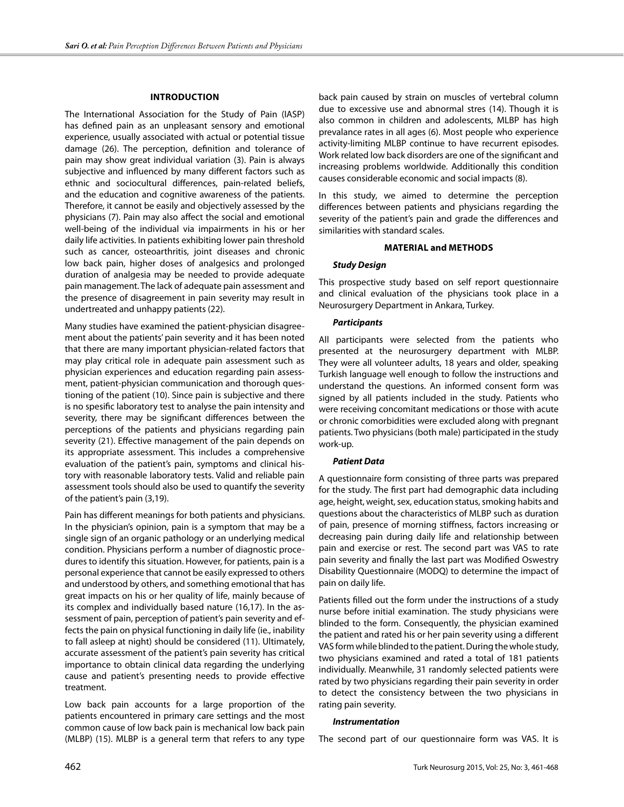#### **Introduction**

The International Association for the Study of Pain (IASP) has defined pain as an unpleasant sensory and emotional experience, usually associated with actual or potential tissue damage (26). The perception, definition and tolerance of pain may show great individual variation (3). Pain is always subjective and influenced by many different factors such as ethnic and sociocultural differences, pain-related beliefs, and the education and cognitive awareness of the patients. Therefore, it cannot be easily and objectively assessed by the physicians (7). Pain may also affect the social and emotional well-being of the individual via impairments in his or her daily life activities. In patients exhibiting lower pain threshold such as cancer, osteoarthritis, joint diseases and chronic low back pain, higher doses of analgesics and prolonged duration of analgesia may be needed to provide adequate pain management. The lack of adequate pain assessment and the presence of disagreement in pain severity may result in undertreated and unhappy patients (22).

Many studies have examined the patient-physician disagreement about the patients' pain severity and it has been noted that there are many important physician-related factors that may play critical role in adequate pain assessment such as physician experiences and education regarding pain assessment, patient-physician communication and thorough questioning of the patient (10). Since pain is subjective and there is no spesific laboratory test to analyse the pain intensity and severity, there may be significant differences between the perceptions of the patients and physicians regarding pain severity (21). Effective management of the pain depends on its appropriate assessment. This includes a comprehensive evaluation of the patient's pain, symptoms and clinical history with reasonable laboratory tests. Valid and reliable pain assessment tools should also be used to quantify the severity of the patient's pain (3,19).

Pain has different meanings for both patients and physicians. In the physician's opinion, pain is a symptom that may be a single sign of an organic pathology or an underlying medical condition. Physicians perform a number of diagnostic procedures to identify this situation. However, for patients, pain is a personal experience that cannot be easily expressed to others and understood by others, and something emotional that has great impacts on his or her quality of life, mainly because of its complex and individually based nature (16,17). In the assessment of pain, perception of patient's pain severity and effects the pain on physical functioning in daily life (ie., inability to fall asleep at night) should be considered (11). Ultimately, accurate assessment of the patient's pain severity has critical importance to obtain clinical data regarding the underlying cause and patient's presenting needs to provide effective treatment.

Low back pain accounts for a large proportion of the patients encountered in primary care settings and the most common cause of low back pain is mechanical low back pain (MLBP) (15). MLBP is a general term that refers to any type back pain caused by strain on muscles of vertebral column due to excessive use and abnormal stres (14). Though it is also common in children and adolescents, MLBP has high prevalance rates in all ages (6). Most people who experience activity-limiting MLBP continue to have recurrent episodes. Work related low back disorders are one of the significant and increasing problems worldwide. Additionally this condition causes considerable economic and social impacts (8).

In this study, we aimed to determine the perception differences between patients and physicians regarding the severity of the patient's pain and grade the differences and similarities with standard scales.

#### **Material and Methods**

## *Study Design*

This prospective study based on self report questionnaire and clinical evaluation of the physicians took place in a Neurosurgery Department in Ankara, Turkey.

## *Participants*

All participants were selected from the patients who presented at the neurosurgery department with MLBP. They were all volunteer adults, 18 years and older, speaking Turkish language well enough to follow the instructions and understand the questions. An informed consent form was signed by all patients included in the study. Patients who were receiving concomitant medications or those with acute or chronic comorbidities were excluded along with pregnant patients. Two physicians (both male) participated in the study work-up.

#### *Patient Data*

A questionnaire form consisting of three parts was prepared for the study. The first part had demographic data including age, height, weight, sex, education status, smoking habits and questions about the characteristics of MLBP such as duration of pain, presence of morning stiffness, factors increasing or decreasing pain during daily life and relationship between pain and exercise or rest. The second part was VAS to rate pain severity and finally the last part was Modified Oswestry Disability Questionnaire (MODQ) to determine the impact of pain on daily life.

Patients filled out the form under the instructions of a study nurse before initial examination. The study physicians were blinded to the form. Consequently, the physician examined the patient and rated his or her pain severity using a different VAS form while blinded to the patient. During the whole study, two physicians examined and rated a total of 181 patients individually. Meanwhile, 31 randomly selected patients were rated by two physicians regarding their pain severity in order to detect the consistency between the two physicians in rating pain severity.

#### *Instrumentation*

The second part of our questionnaire form was VAS. It is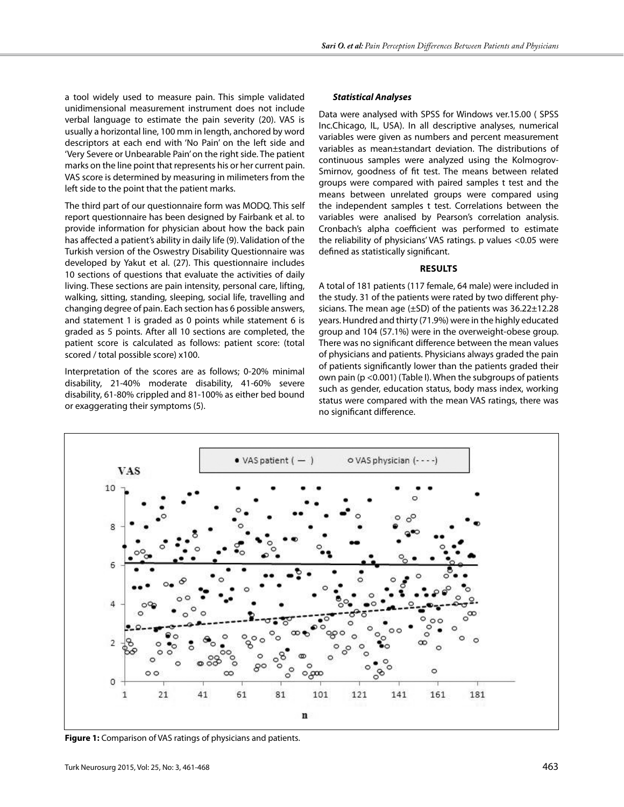a tool widely used to measure pain. This simple validated unidimensional measurement instrument does not include verbal language to estimate the pain severity (20). VAS is usually a horizontal line, 100 mm in length, anchored by word descriptors at each end with 'No Pain' on the left side and 'Very Severe or Unbearable Pain' on the right side. The patient marks on the line point that represents his or her current pain. VAS score is determined by measuring in milimeters from the left side to the point that the patient marks.

The third part of our questionnaire form was MODQ. This self report questionnaire has been designed by Fairbank et al. to provide information for physician about how the back pain has affected a patient's ability in daily life (9). Validation of the Turkish version of the Oswestry Disability Questionnaire was developed by Yakut et al. (27). This questionnaire includes 10 sections of questions that evaluate the activities of daily living. These sections are pain intensity, personal care, lifting, walking, sitting, standing, sleeping, social life, travelling and changing degree of pain. Each section has 6 possible answers, and statement 1 is graded as 0 points while statement 6 is graded as 5 points. After all 10 sections are completed, the patient score is calculated as follows: patient score: (total scored / total possible score) x100.

Interpretation of the scores are as follows; 0-20% minimal disability, 21-40% moderate disability, 41-60% severe disability, 61-80% crippled and 81-100% as either bed bound or exaggerating their symptoms (5).

## *Statistical Analyses*

Data were analysed with SPSS for Windows ver.15.00 ( SPSS Inc.Chicago, IL, USA). In all descriptive analyses, numerical variables were given as numbers and percent measurement variables as mean±standart deviation. The distributions of continuous samples were analyzed using the Kolmogrov-Smirnov, goodness of fit test. The means between related groups were compared with paired samples t test and the means between unrelated groups were compared using the independent samples t test. Correlations between the variables were analised by Pearson's correlation analysis. Cronbach's alpha coefficient was performed to estimate the reliability of physicians' VAS ratings. p values <0.05 were defined as statistically significant.

#### **results**

A total of 181 patients (117 female, 64 male) were included in the study. 31 of the patients were rated by two different physicians. The mean age (±SD) of the patients was 36.22±12.28 years. Hundred and thirty (71.9%) were in the highly educated group and 104 (57.1%) were in the overweight-obese group. There was no significant difference between the mean values of physicians and patients. Physicians always graded the pain of patients significantly lower than the patients graded their own pain (p <0.001) (Table I). When the subgroups of patients such as gender, education status, body mass index, working status were compared with the mean VAS ratings, there was no significant difference.



**Figure 1:** Comparison of VAS ratings of physicians and patients.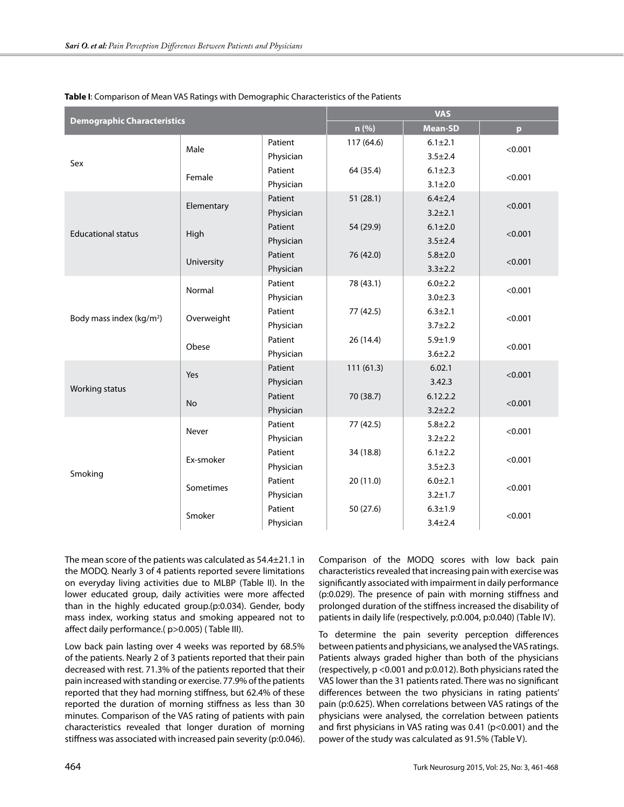| <b>Demographic Characteristics</b>   |            |           | <b>VAS</b> |                |              |  |
|--------------------------------------|------------|-----------|------------|----------------|--------------|--|
|                                      |            |           | n(%)       | <b>Mean-SD</b> | $\mathbf{p}$ |  |
|                                      | Male       | Patient   | 117 (64.6) | $6.1 \pm 2.1$  | < 0.001      |  |
| Sex                                  |            | Physician |            | $3.5 \pm 2.4$  |              |  |
|                                      | Female     | Patient   | 64 (35.4)  | $6.1 \pm 2.3$  | < 0.001      |  |
|                                      |            | Physician |            | $3.1 \pm 2.0$  |              |  |
|                                      |            | Patient   | 51(28.1)   | $6.4 \pm 2.4$  | < 0.001      |  |
|                                      | Elementary | Physician |            | $3.2 + 2.1$    |              |  |
| <b>Educational status</b>            |            | Patient   | 54 (29.9)  | $6.1 \pm 2.0$  |              |  |
|                                      | High       | Physician |            | $3.5 \pm 2.4$  | < 0.001      |  |
|                                      |            | Patient   | 76 (42.0)  | $5.8 + 2.0$    |              |  |
|                                      | University | Physician |            | $3.3 \pm 2.2$  | < 0.001      |  |
|                                      | Normal     | Patient   | 78 (43.1)  | $6.0 + 2.2$    |              |  |
|                                      |            | Physician |            | $3.0 + 2.3$    | < 0.001      |  |
|                                      | Overweight | Patient   | 77 (42.5)  | $6.3 + 2.1$    | < 0.001      |  |
| Body mass index (kg/m <sup>2</sup> ) |            | Physician |            | $3.7 + 2.2$    |              |  |
|                                      | Obese      | Patient   | 26(14.4)   | $5.9 + 1.9$    |              |  |
|                                      |            | Physician |            | $3.6 + 2.2$    | < 0.001      |  |
|                                      | Yes        | Patient   | 111(61.3)  | 6.02.1         | < 0.001      |  |
|                                      |            | Physician |            | 3.42.3         |              |  |
| Working status                       |            | Patient   | 70 (38.7)  | 6.12.2.2       |              |  |
|                                      | <b>No</b>  | Physician |            | $3.2 + 2.2$    | < 0.001      |  |
|                                      | Never      | Patient   | 77 (42.5)  | $5.8 + 2.2$    |              |  |
| Smoking                              |            | Physician |            | $3.2 + 2.2$    | < 0.001      |  |
|                                      | Ex-smoker  | Patient   | 34 (18.8)  | $6.1 \pm 2.2$  |              |  |
|                                      |            | Physician |            | $3.5 \pm 2.3$  | < 0.001      |  |
|                                      | Sometimes  | Patient   | 20(11.0)   | $6.0 + 2.1$    |              |  |
|                                      |            | Physician |            | $3.2 + 1.7$    | < 0.001      |  |
|                                      | Smoker     | Patient   | 50 (27.6)  | $6.3 + 1.9$    |              |  |
|                                      |            | Physician |            | $3.4 + 2.4$    | < 0.001      |  |

#### **Table I**: Comparison of Mean VAS Ratings with Demographic Characteristics of the Patients

The mean score of the patients was calculated as 54.4±21.1 in the MODQ. Nearly 3 of 4 patients reported severe limitations on everyday living activities due to MLBP (Table II). In the lower educated group, daily activities were more affected than in the highly educated group.(p:0.034). Gender, body mass index, working status and smoking appeared not to affect daily performance.( p>0.005) ( Table III).

Low back pain lasting over 4 weeks was reported by 68.5% of the patients. Nearly 2 of 3 patients reported that their pain decreased with rest. 71.3% of the patients reported that their pain increased with standing or exercise. 77.9% of the patients reported that they had morning stiffness, but 62.4% of these reported the duration of morning stiffness as less than 30 minutes. Comparison of the VAS rating of patients with pain characteristics revealed that longer duration of morning stiffness was associated with increased pain severity (p:0.046). Comparison of the MODQ scores with low back pain characteristics revealed that increasing pain with exercise was significantly associated with impairment in daily performance (p:0.029). The presence of pain with morning stiffness and prolonged duration of the stiffness increased the disability of patients in daily life (respectively, p:0.004, p:0.040) (Table IV).

To determine the pain severity perception differences between patients and physicians, we analysed the VAS ratings. Patients always graded higher than both of the physicians (respectively, p <0.001 and p:0.012). Both physicians rated the VAS lower than the 31 patients rated. There was no significant differences between the two physicians in rating patients' pain (p:0.625). When correlations between VAS ratings of the physicians were analysed, the correlation between patients and first physicians in VAS rating was 0.41 (p<0.001) and the power of the study was calculated as 91.5% (Table V).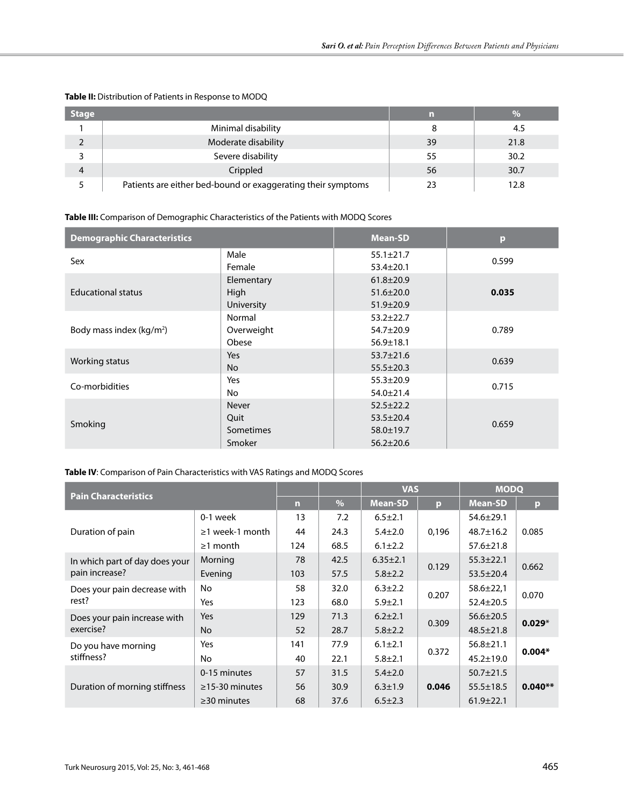| <b>Stage</b> |                                                              | m  | $\frac{0}{6}$ |
|--------------|--------------------------------------------------------------|----|---------------|
|              | Minimal disability                                           | 8  | 4.5           |
| C            | Moderate disability                                          | 39 | 21.8          |
|              | Severe disability                                            | 55 | 30.2          |
| 4            | Crippled                                                     | 56 | 30.7          |
|              | Patients are either bed-bound or exaggerating their symptoms | 23 | 12.8          |

# **Table II:** Distribution of Patients in Response to MODQ

# **Table III:** Comparison of Demographic Characteristics of the Patients with MODQ Scores

| <b>Demographic Characteristics</b>   |              | <b>Mean-SD</b>  | $\mathbf{p}$ |  |
|--------------------------------------|--------------|-----------------|--------------|--|
| Sex                                  | Male         | $55.1 \pm 21.7$ | 0.599        |  |
|                                      | Female       | $53.4 \pm 20.1$ |              |  |
|                                      | Elementary   | $61.8 \pm 20.9$ |              |  |
| <b>Educational status</b>            | High         | $51.6 \pm 20.0$ | 0.035        |  |
|                                      | University   | $51.9 \pm 20.9$ |              |  |
|                                      | Normal       | $53.2 \pm 22.7$ |              |  |
| Body mass index (kg/m <sup>2</sup> ) | Overweight   | $54.7 \pm 20.9$ | 0.789        |  |
|                                      | Obese        | $56.9 \pm 18.1$ |              |  |
| Working status                       | Yes          | $53.7 \pm 21.6$ | 0.639        |  |
|                                      | No.          | $55.5 \pm 20.3$ |              |  |
| Co-morbidities                       | Yes          | $55.3 \pm 20.9$ | 0.715        |  |
|                                      | No           | $54.0 \pm 21.4$ |              |  |
|                                      | <b>Never</b> | $52.5 + 22.2$   |              |  |
| Smoking                              | Quit         | $53.5 \pm 20.4$ | 0.659        |  |
|                                      | Sometimes    | $58.0 \pm 19.7$ |              |  |
|                                      | Smoker       | $56.2 \pm 20.6$ |              |  |

# **Table IV**: Comparison of Pain Characteristics with VAS Ratings and MODQ Scores

| <b>Pain Characteristics</b>               |                       |     |      | <b>VAS</b>     |       | <b>MODO</b>     |           |
|-------------------------------------------|-----------------------|-----|------|----------------|-------|-----------------|-----------|
|                                           |                       | n   | $\%$ | <b>Mean-SD</b> | p     | <b>Mean-SD</b>  | p         |
|                                           | 0-1 week              | 13  | 7.2  | $6.5 \pm 2.1$  | 0,196 | $54.6 \pm 29.1$ | 0.085     |
| Duration of pain                          | $\geq$ 1 week-1 month | 44  | 24.3 | $5.4 \pm 2.0$  |       | $48.7 \pm 16.2$ |           |
|                                           | $\geq$ 1 month        | 124 | 68.5 | $6.1 \pm 2.2$  |       | $57.6 \pm 21.8$ |           |
| In which part of day does your            | Morning               | 78  | 42.5 | $6.35 \pm 2.1$ |       | $55.3 + 22.1$   | 0.662     |
| pain increase?                            | Evening               | 103 | 57.5 | $5.8 \pm 2.2$  | 0.129 | $53.5 \pm 20.4$ |           |
| Does your pain decrease with              | No.                   | 58  | 32.0 | $6.3 \pm 2.2$  |       | $58.6 \pm 22.1$ | 0.070     |
| rest?                                     | Yes                   | 123 | 68.0 | $5.9 \pm 2.1$  | 0.207 | $52.4 \pm 20.5$ |           |
| Does your pain increase with<br>exercise? | Yes                   | 129 | 71.3 | $6.2 + 2.1$    |       | $56.6 \pm 20.5$ | $0.029*$  |
|                                           | No.                   | 52  | 28.7 | $5.8 \pm 2.2$  | 0.309 | $48.5 \pm 21.8$ |           |
| Do you have morning                       | Yes                   | 141 | 77.9 | $6.1 \pm 2.1$  |       | $56.8 \pm 21.1$ | $0.004*$  |
| stiffness?                                | No.                   | 40  | 22.1 | $5.8 \pm 2.1$  | 0.372 | $45.2 \pm 19.0$ |           |
|                                           | 0-15 minutes          | 57  | 31.5 | $5.4 \pm 2.0$  | 0.046 | $50.7 \pm 21.5$ |           |
| Duration of morning stiffness             | $\geq$ 15-30 minutes  | 56  | 30.9 | $6.3 \pm 1.9$  |       | $55.5 \pm 18.5$ | $0.040**$ |
|                                           | $\geq$ 30 minutes     | 68  | 37.6 | $6.5 \pm 2.3$  |       | $61.9 \pm 22.1$ |           |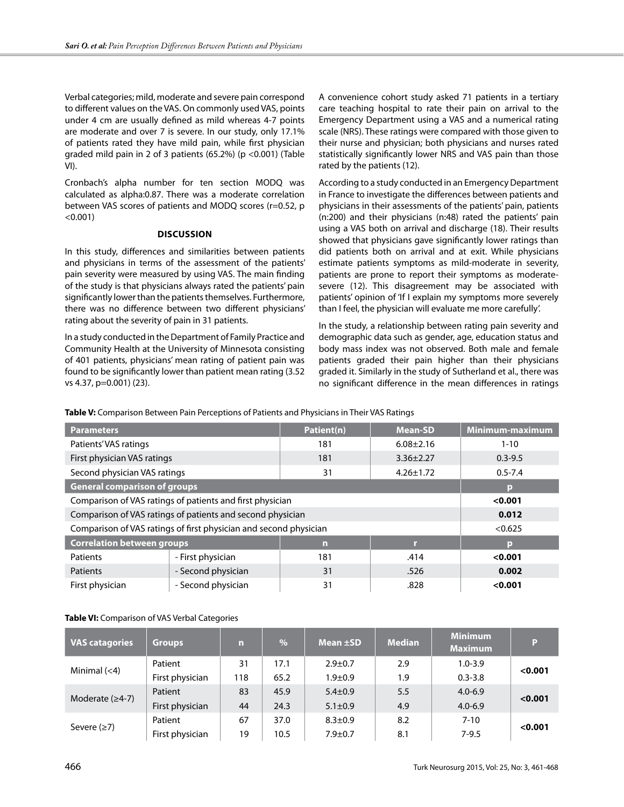Verbal categories; mild, moderate and severe pain correspond to different values on the VAS. On commonly used VAS, points under 4 cm are usually defined as mild whereas 4-7 points are moderate and over 7 is severe. In our study, only 17.1% of patients rated they have mild pain, while first physician graded mild pain in 2 of 3 patients (65.2%) (p <0.001) (Table VI).

Cronbach's alpha number for ten section MODQ was calculated as alpha:0.87. There was a moderate correlation between VAS scores of patients and MODQ scores (r=0.52, p  $< 0.001$ )

#### **Discussion**

In this study, differences and similarities between patients and physicians in terms of the assessment of the patients' pain severity were measured by using VAS. The main finding of the study is that physicians always rated the patients' pain significantly lower than the patients themselves. Furthermore, there was no difference between two different physicians' rating about the severity of pain in 31 patients.

In a study conducted in the Department of Family Practice and Community Health at the University of Minnesota consisting of 401 patients, physicians' mean rating of patient pain was found to be significantly lower than patient mean rating (3.52 vs 4.37, p=0.001) (23).

A convenience cohort study asked 71 patients in a tertiary care teaching hospital to rate their pain on arrival to the Emergency Department using a VAS and a numerical rating scale (NRS). These ratings were compared with those given to their nurse and physician; both physicians and nurses rated statistically significantly lower NRS and VAS pain than those rated by the patients (12).

According to a study conducted in an Emergency Department in France to investigate the differences between patients and physicians in their assessments of the patients' pain, patients (n:200) and their physicians (n:48) rated the patients' pain using a VAS both on arrival and discharge (18). Their results showed that physicians gave significantly lower ratings than did patients both on arrival and at exit. While physicians estimate patients symptoms as mild-moderate in severity, patients are prone to report their symptoms as moderatesevere (12). This disagreement may be associated with patients' opinion of 'If I explain my symptoms more severely than I feel, the physician will evaluate me more carefully'.

In the study, a relationship between rating pain severity and demographic data such as gender, age, education status and body mass index was not observed. Both male and female patients graded their pain higher than their physicians graded it. Similarly in the study of Sutherland et al., there was no significant difference in the mean differences in ratings

**Table V:** Comparison Between Pain Perceptions of Patients and Physicians in Their VAS Ratings

| <b>Parameters</b>                                                 |                    | Patient(n) | <b>Mean-SD</b>  | Minimum-maximum |
|-------------------------------------------------------------------|--------------------|------------|-----------------|-----------------|
| Patients' VAS ratings                                             |                    | 181        | $6.08 \pm 2.16$ | $1 - 10$        |
| First physician VAS ratings                                       |                    | 181        | $3.36 \pm 2.27$ | $0.3 - 9.5$     |
| Second physician VAS ratings                                      |                    | 31         | $4.26 \pm 1.72$ | $0.5 - 7.4$     |
| <b>General comparison of groups</b>                               | р                  |            |                 |                 |
| Comparison of VAS ratings of patients and first physician         | < 0.001            |            |                 |                 |
| Comparison of VAS ratings of patients and second physician        | 0.012              |            |                 |                 |
| Comparison of VAS ratings of first physician and second physician | < 0.625            |            |                 |                 |
| <b>Correlation between groups</b>                                 |                    | n          | п               | р               |
| Patients                                                          | - First physician  | 181        | .414            | < 0.001         |
| Patients                                                          | - Second physician | 31         | .526            | 0.002           |
| First physician                                                   | - Second physician | 31         | .828            | < 0.001         |

## **Table VI:** Comparison of VAS Verbal Categories

| <b>VAS catagories</b> | <b>Groups</b>   | n   | $\%$ | Mean $\pm$ SD | <b>Median</b> | <b>Minimum</b><br><b>Maximum</b> | P       |
|-----------------------|-----------------|-----|------|---------------|---------------|----------------------------------|---------|
| Minimal $(<$ 4)       | Patient         | 31  | 17.1 | $2.9 \pm 0.7$ | 2.9           | $1.0 - 3.9$                      | < 0.001 |
|                       | First physician | 118 | 65.2 | $1.9 + 0.9$   | 1.9           | $0.3 - 3.8$                      |         |
| Moderate $(≥4-7)$     | Patient         | 83  | 45.9 | $5.4 \pm 0.9$ | 5.5           | $4.0 - 6.9$                      | < 0.001 |
|                       | First physician | 44  | 24.3 | $5.1 \pm 0.9$ | 4.9           | $4.0 - 6.9$                      |         |
| Severe $(≥7)$         | Patient         | 67  | 37.0 | $8.3 \pm 0.9$ | 8.2           | $7 - 10$                         | < 0.001 |
|                       | First physician | 19  | 10.5 | $7.9 \pm 0.7$ | 8.1           | $7 - 9.5$                        |         |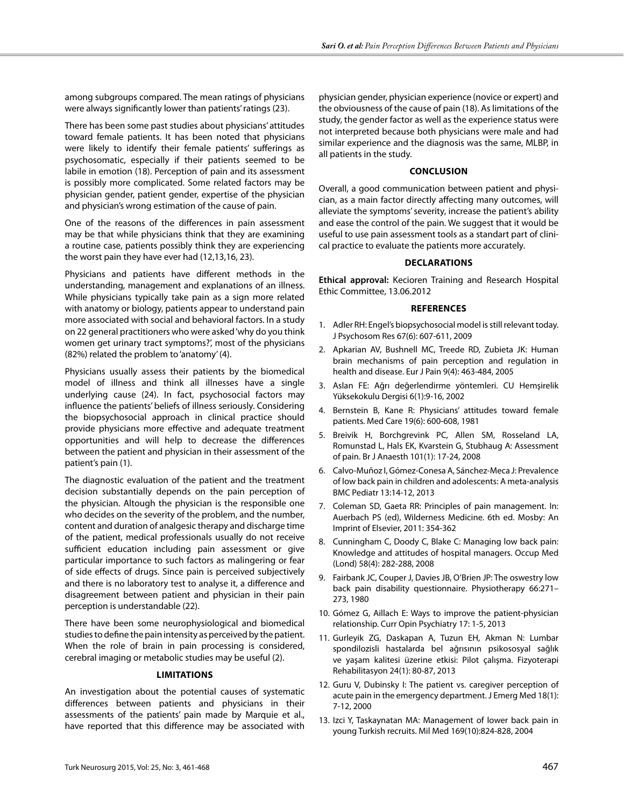among subgroups compared. The mean ratings of physicians were always significantly lower than patients' ratings (23).

There has been some past studies about physicians' attitudes toward female patients. It has been noted that physicians were likely to identify their female patients' sufferings as psychosomatic, especially if their patients seemed to be labile in emotion (18). Perception of pain and its assessment is possibly more complicated. Some related factors may be physician gender, patient gender, expertise of the physician and physician's wrong estimation of the cause of pain.

One of the reasons of the differences in pain assessment may be that while physicians think that they are examining a routine case, patients possibly think they are experiencing the worst pain they have ever had (12,13,16, 23).

Physicians and patients have different methods in the understanding, management and explanations of an illness. While physicians typically take pain as a sign more related with anatomy or biology, patients appear to understand pain more associated with social and behavioral factors. In a study on 22 general practitioners who were asked 'why do you think women get urinary tract symptoms?', most of the physicians (82%) related the problem to 'anatomy' (4).

Physicians usually assess their patients by the biomedical model of illness and think all illnesses have a single underlying cause (24). In fact, psychosocial factors may influence the patients' beliefs of illness seriously. Considering the biopsychosocial approach in clinical practice should provide physicians more effective and adequate treatment opportunities and will help to decrease the differences between the patient and physician in their assessment of the patient's pain (1).

The diagnostic evaluation of the patient and the treatment decision substantially depends on the pain perception of the physician. Altough the physician is the responsible one who decides on the severity of the problem, and the number, content and duration of analgesic therapy and discharge time of the patient, medical professionals usually do not receive sufficient education including pain assessment or give particular importance to such factors as malingering or fear of side effects of drugs. Since pain is perceived subjectively and there is no laboratory test to analyse it, a difference and disagreement between patient and physician in their pain perception is understandable (22).

There have been some neurophysiological and biomedical studies to define the pain intensity as perceived by the patient. When the role of brain in pain processing is considered, cerebral imaging or metabolic studies may be useful (2).

#### **Limitations**

An investigation about the potential causes of systematic differences between patients and physicians in their assessments of the patients' pain made by Marquie et al., have reported that this difference may be associated with

physician gender, physician experience (novice or expert) and the obviousness of the cause of pain (18). As limitations of the study, the gender factor as well as the experience status were not interpreted because both physicians were male and had similar experience and the diagnosis was the same, MLBP, in all patients in the study.

## **Conclusion**

Overall, a good communication between patient and physician, as a main factor directly affecting many outcomes, will alleviate the symptoms' severity, increase the patient's ability and ease the control of the pain. We suggest that it would be useful to use pain assessment tools as a standart part of clinical practice to evaluate the patients more accurately.

#### **Declarations**

**Ethical approval:** Kecioren Training and Research Hospital Ethic Committee, 13.06.2012

#### **References**

- 1. Adler RH: Engel's biopsychosocial model is still relevant today. J Psychosom Res 67(6): 607-611, 2009
- 2. Apkarian AV, Bushnell MC, Treede RD, Zubieta JK: Human brain mechanisms of pain perception and regulation in health and disease. Eur J Pain 9(4): 463-484, 2005
- 3. Aslan FE: Ağrı değerlendirme yöntemleri. CU Hemşirelik Yüksekokulu Dergisi 6(1):9-16, 2002
- 4. Bernstein B, Kane R: Physicians' attitudes toward female patients. Med Care 19(6): 600-608, 1981
- 5. Breivik H, Borchgrevink PC, Allen SM, Rosseland LA, Romunstad L, Hals EK, Kvarstein G, Stubhaug A: Assessment of pain. Br J Anaesth 101(1): 17-24, 2008
- 6. Calvo-Muñoz I, Gómez-Conesa A, Sánchez-Meca J: Prevalence of low back pain in children and adolescents: A meta-analysis BMC Pediatr 13:14-12, 2013
- 7. Coleman SD, Gaeta RR: Principles of pain management. In: Auerbach PS (ed), Wilderness Medicine. 6th ed. Mosby: An Imprint of Elsevier, 2011: 354-362
- 8. Cunningham C, Doody C, Blake C: Managing low back pain: Knowledge and attitudes of hospital managers. Occup Med (Lond) 58(4): 282-288, 2008
- 9. Fairbank JC, Couper J, Davies JB, O'Brien JP: The oswestry low back pain disability questionnaire. Physiotherapy 66:271– 273, 1980
- 10. Gómez G, Aillach E: Ways to improve the patient-physician relationship. Curr Opin Psychiatry 17: 1-5, 2013
- 11. Gurleyik ZG, Daskapan A, Tuzun EH, Akman N: Lumbar spondilozisli hastalarda bel ağrısının psikososyal sağlık ve yaşam kalitesi üzerine etkisi: Pilot çalışma. Fizyoterapi Rehabilitasyon 24(1): 80-87, 2013
- 12. Guru V, Dubinsky I: The patient vs. caregiver perception of acute pain in the emergency department. J Emerg Med 18(1): 7-12, 2000
- 13. Izci Y, Taskaynatan MA: Management of lower back pain in young Turkish recruits. Mil Med 169(10):824-828, 2004